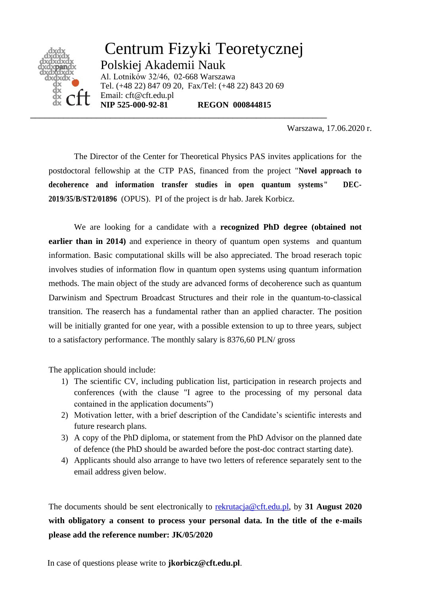

Warszawa, 17.06.2020 r.

The Director of the Center for Theoretical Physics PAS invites applications for the postdoctoral fellowship at the CTP PAS, financed from the project "**Novel approach to decoherence and information transfer studies in open quantum systems" DEC-2019/35/B/ST2/01896** (OPUS). PI of the project is dr hab. Jarek Korbicz.

We are looking for a candidate with a **recognized PhD degree (obtained not earlier than in 2014**) and experience in theory of quantum open systems and quantum information. Basic computational skills will be also appreciated. The broad reserach topic involves studies of information flow in quantum open systems using quantum information methods. The main object of the study are advanced forms of decoherence such as quantum Darwinism and Spectrum Broadcast Structures and their role in the quantum-to-classical transition. The reaserch has a fundamental rather than an applied character. The position will be initially granted for one year, with a possible extension to up to three years, subject to a satisfactory performance. The monthly salary is 8376,60 PLN/ gross

The application should include:

- 1) The scientific CV, including publication list, participation in research projects and conferences (with the clause "I agree to the processing of my personal data contained in the application documents")
- 2) Motivation letter, with a brief description of the Candidate's scientific interests and future research plans.
- 3) A copy of the PhD diploma, or statement from the PhD Advisor on the planned date of defence (the PhD should be awarded before the post-doc contract starting date).
- 4) Applicants should also arrange to have two letters of reference separately sent to the email address given below.

The documents should be sent electronically to [rekrutacja@cft.edu.pl,](mailto:rekrutacja@cft.edu.pl) by **31 August 2020 with obligatory a consent to process your personal data. In the title of the e-mails please add the reference number: JK/05/2020**

In case of questions please write to **jkorbicz@cft.edu.pl**.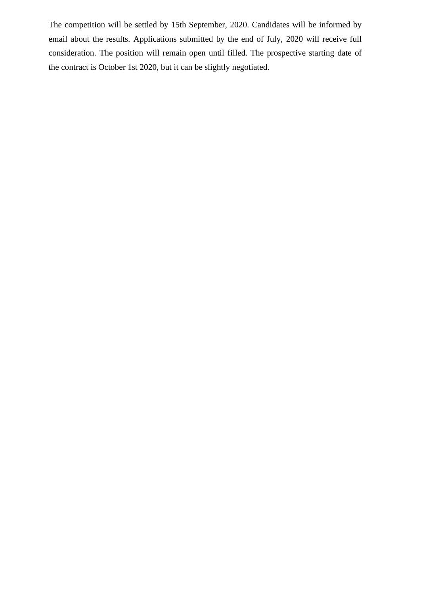The competition will be settled by 15th September, 2020. Candidates will be informed by email about the results. Applications submitted by the end of July, 2020 will receive full consideration. The position will remain open until filled. The prospective starting date of the contract is October 1st 2020, but it can be slightly negotiated.